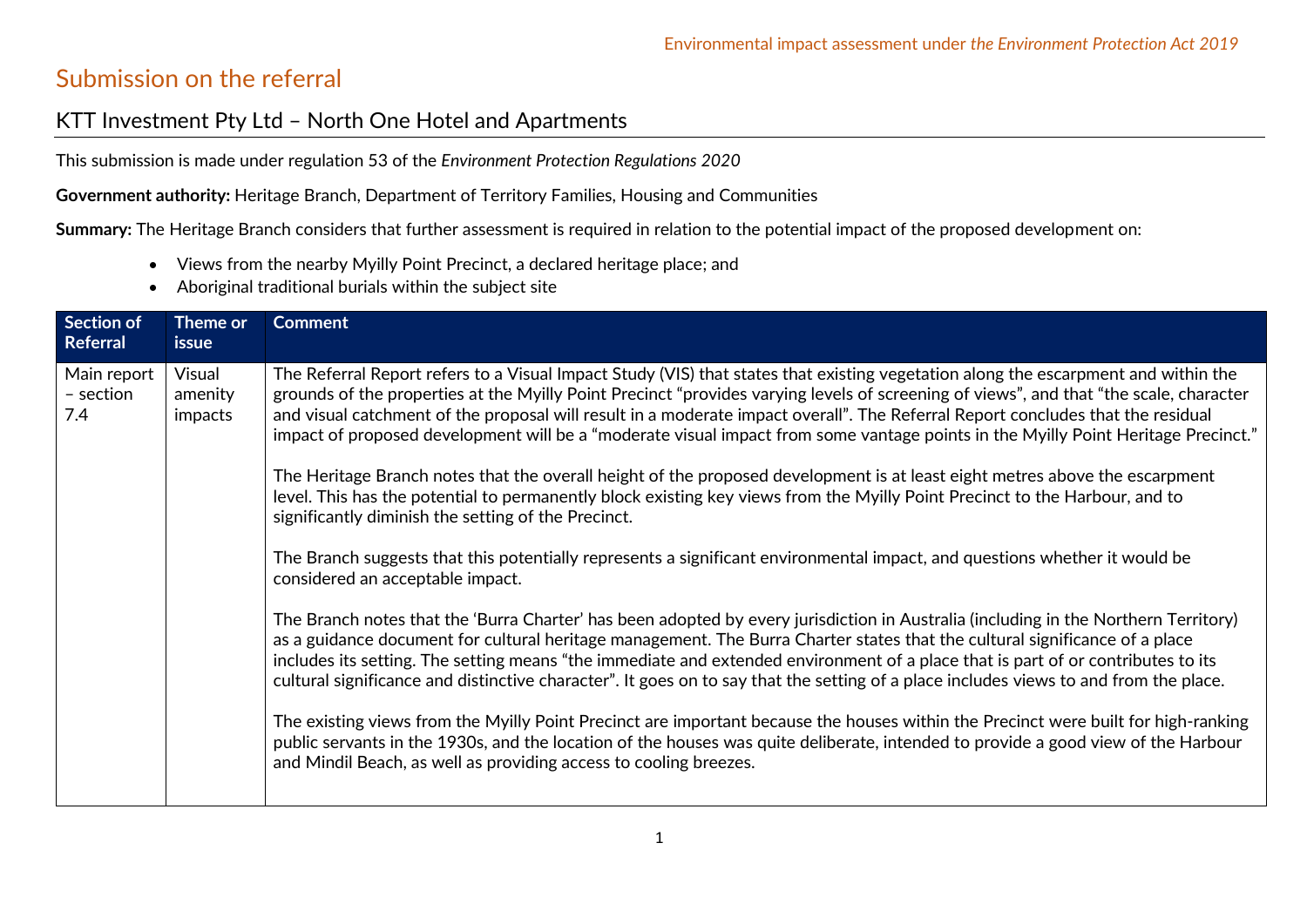## Submission on the referral

## KTT Investment Pty Ltd – North One Hotel and Apartments

This submission is made under regulation 53 of the *Environment Protection Regulations 2020*

**Government authority:** Heritage Branch, Department of Territory Families, Housing and Communities

**Summary:** The Heritage Branch considers that further assessment is required in relation to the potential impact of the proposed development on:

- Views from the nearby Myilly Point Precinct, a declared heritage place; and
- Aboriginal traditional burials within the subject site

| Section of<br>Referral          | Theme or<br>issue            | <b>Comment</b>                                                                                                                                                                                                                                                                                                                                                                                                                                                                                                                                       |
|---------------------------------|------------------------------|------------------------------------------------------------------------------------------------------------------------------------------------------------------------------------------------------------------------------------------------------------------------------------------------------------------------------------------------------------------------------------------------------------------------------------------------------------------------------------------------------------------------------------------------------|
| Main report<br>- section<br>7.4 | Visual<br>amenity<br>impacts | The Referral Report refers to a Visual Impact Study (VIS) that states that existing vegetation along the escarpment and within the<br>grounds of the properties at the Myilly Point Precinct "provides varying levels of screening of views", and that "the scale, character<br>and visual catchment of the proposal will result in a moderate impact overall". The Referral Report concludes that the residual<br>impact of proposed development will be a "moderate visual impact from some vantage points in the Myilly Point Heritage Precinct." |
|                                 |                              | The Heritage Branch notes that the overall height of the proposed development is at least eight metres above the escarpment<br>level. This has the potential to permanently block existing key views from the Myilly Point Precinct to the Harbour, and to<br>significantly diminish the setting of the Precinct.                                                                                                                                                                                                                                    |
|                                 |                              | The Branch suggests that this potentially represents a significant environmental impact, and questions whether it would be<br>considered an acceptable impact.                                                                                                                                                                                                                                                                                                                                                                                       |
|                                 |                              | The Branch notes that the 'Burra Charter' has been adopted by every jurisdiction in Australia (including in the Northern Territory)<br>as a guidance document for cultural heritage management. The Burra Charter states that the cultural significance of a place<br>includes its setting. The setting means "the immediate and extended environment of a place that is part of or contributes to its<br>cultural significance and distinctive character". It goes on to say that the setting of a place includes views to and from the place.      |
|                                 |                              | The existing views from the Myilly Point Precinct are important because the houses within the Precinct were built for high-ranking<br>public servants in the 1930s, and the location of the houses was quite deliberate, intended to provide a good view of the Harbour<br>and Mindil Beach, as well as providing access to cooling breezes.                                                                                                                                                                                                         |